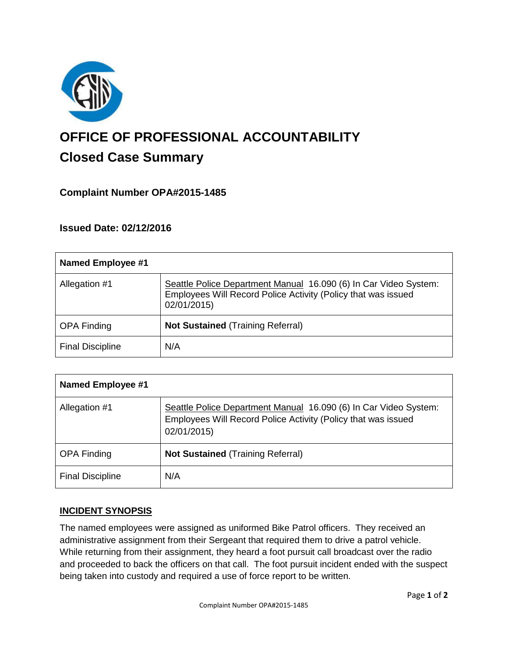

# **OFFICE OF PROFESSIONAL ACCOUNTABILITY Closed Case Summary**

## **Complaint Number OPA#2015-1485**

**Issued Date: 02/12/2016**

| Named Employee #1       |                                                                                                                                                  |
|-------------------------|--------------------------------------------------------------------------------------------------------------------------------------------------|
| Allegation #1           | Seattle Police Department Manual 16.090 (6) In Car Video System:<br>Employees Will Record Police Activity (Policy that was issued<br>02/01/2015) |
| <b>OPA Finding</b>      | <b>Not Sustained (Training Referral)</b>                                                                                                         |
| <b>Final Discipline</b> | N/A                                                                                                                                              |

| <b>Named Employee #1</b> |                                                                                                                                                  |
|--------------------------|--------------------------------------------------------------------------------------------------------------------------------------------------|
| Allegation #1            | Seattle Police Department Manual 16.090 (6) In Car Video System:<br>Employees Will Record Police Activity (Policy that was issued<br>02/01/2015) |
| <b>OPA Finding</b>       | <b>Not Sustained (Training Referral)</b>                                                                                                         |
| <b>Final Discipline</b>  | N/A                                                                                                                                              |

## **INCIDENT SYNOPSIS**

The named employees were assigned as uniformed Bike Patrol officers. They received an administrative assignment from their Sergeant that required them to drive a patrol vehicle. While returning from their assignment, they heard a foot pursuit call broadcast over the radio and proceeded to back the officers on that call. The foot pursuit incident ended with the suspect being taken into custody and required a use of force report to be written.